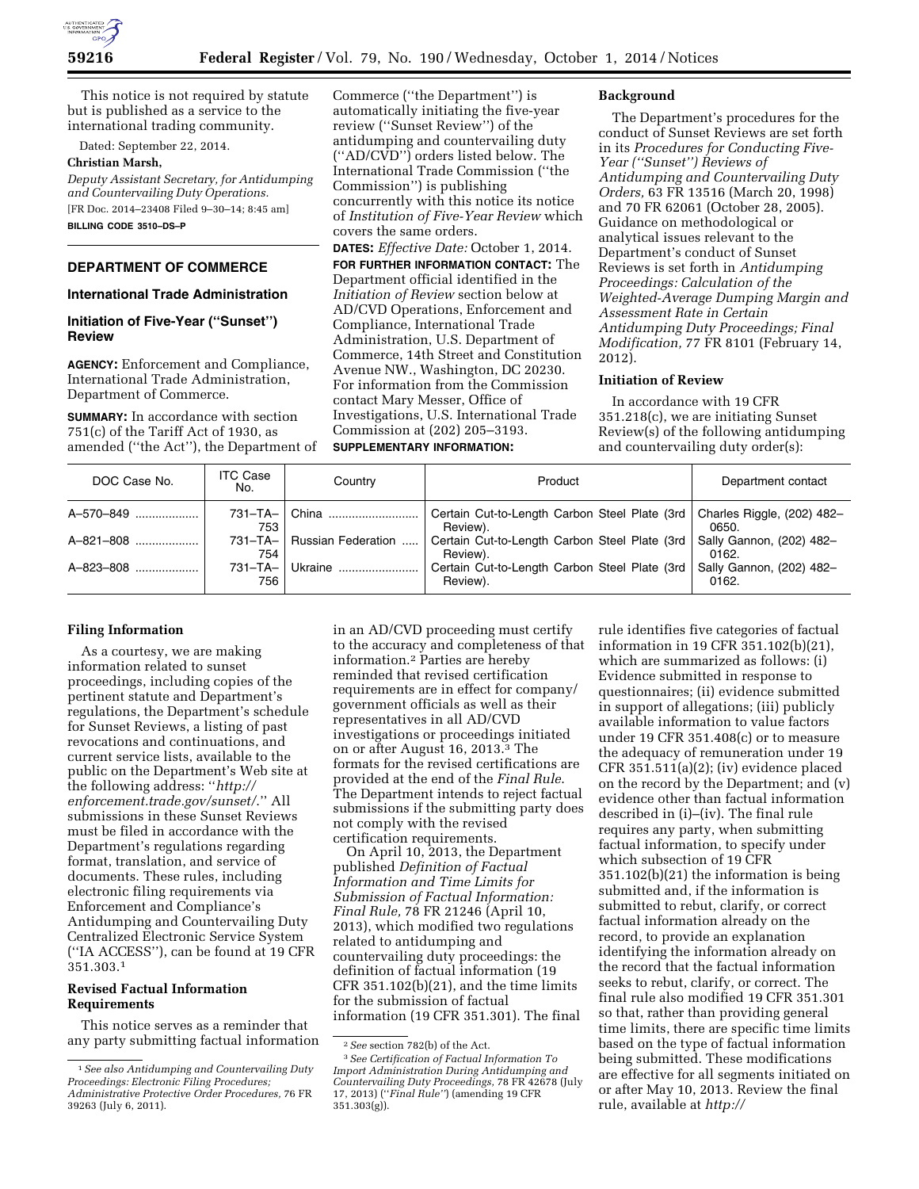

This notice is not required by statute but is published as a service to the international trading community.

Dated: September 22, 2014.

#### **Christian Marsh,**

*Deputy Assistant Secretary, for Antidumping and Countervailing Duty Operations.*  [FR Doc. 2014–23408 Filed 9–30–14; 8:45 am] **BILLING CODE 3510–DS–P** 

### **DEPARTMENT OF COMMERCE**

### **International Trade Administration**

### **Initiation of Five-Year (''Sunset'') Review**

**AGENCY:** Enforcement and Compliance, International Trade Administration, Department of Commerce.

**SUMMARY:** In accordance with section 751(c) of the Tariff Act of 1930, as amended (''the Act''), the Department of Commerce (''the Department'') is automatically initiating the five-year review (''Sunset Review'') of the antidumping and countervailing duty (''AD/CVD'') orders listed below. The International Trade Commission (''the Commission'') is publishing concurrently with this notice its notice of *Institution of Five-Year Review* which covers the same orders.

**DATES:** *Effective Date:* October 1, 2014. **FOR FURTHER INFORMATION CONTACT:** The Department official identified in the *Initiation of Review* section below at AD/CVD Operations, Enforcement and Compliance, International Trade Administration, U.S. Department of Commerce, 14th Street and Constitution Avenue NW., Washington, DC 20230. For information from the Commission contact Mary Messer, Office of Investigations, U.S. International Trade Commission at (202) 205–3193. **SUPPLEMENTARY INFORMATION:** 

#### **Background**

The Department's procedures for the conduct of Sunset Reviews are set forth in its *Procedures for Conducting Five-Year (''Sunset'') Reviews of Antidumping and Countervailing Duty Orders,* 63 FR 13516 (March 20, 1998) and 70 FR 62061 (October 28, 2005). Guidance on methodological or analytical issues relevant to the Department's conduct of Sunset Reviews is set forth in *Antidumping Proceedings: Calculation of the Weighted-Average Dumping Margin and Assessment Rate in Certain Antidumping Duty Proceedings; Final Modification,* 77 FR 8101 (February 14, 2012).

#### **Initiation of Review**

In accordance with 19 CFR 351.218(c), we are initiating Sunset Review(s) of the following antidumping and countervailing duty order(s):

| DOC Case No.    | <b>ITC Case</b><br>No. | Country            | Product                                                   | Department contact                  |
|-----------------|------------------------|--------------------|-----------------------------------------------------------|-------------------------------------|
| A-570-849       | 753                    | 731-TA-   China    | Certain Cut-to-Length Carbon Steel Plate (3rd<br>Review). | Charles Riggle, (202) 482-<br>0650. |
| $A - 821 - 808$ | $731 - TA - I$<br>754  | Russian Federation | Certain Cut-to-Length Carbon Steel Plate (3rd<br>Review). | Sally Gannon, (202) 482-<br>0162.   |
| A-823-808       | $731 - TA - I$<br>756  | Ukraine            | Certain Cut-to-Length Carbon Steel Plate (3rd<br>Review). | Sally Gannon, (202) 482-<br>0162.   |

#### **Filing Information**

As a courtesy, we are making information related to sunset proceedings, including copies of the pertinent statute and Department's regulations, the Department's schedule for Sunset Reviews, a listing of past revocations and continuations, and current service lists, available to the public on the Department's Web site at the following address: ''*http:// enforcement.trade.gov/sunset/*.'' All submissions in these Sunset Reviews must be filed in accordance with the Department's regulations regarding format, translation, and service of documents. These rules, including electronic filing requirements via Enforcement and Compliance's Antidumping and Countervailing Duty Centralized Electronic Service System (''IA ACCESS''), can be found at 19 CFR 351.303.1

### **Revised Factual Information Requirements**

This notice serves as a reminder that any party submitting factual information

in an AD/CVD proceeding must certify to the accuracy and completeness of that information.2 Parties are hereby reminded that revised certification requirements are in effect for company/ government officials as well as their representatives in all AD/CVD investigations or proceedings initiated on or after August 16, 2013.3 The formats for the revised certifications are provided at the end of the *Final Rule*. The Department intends to reject factual submissions if the submitting party does not comply with the revised certification requirements.

On April 10, 2013, the Department published *Definition of Factual Information and Time Limits for Submission of Factual Information: Final Rule,* 78 FR 21246 (April 10, 2013), which modified two regulations related to antidumping and countervailing duty proceedings: the definition of factual information (19 CFR 351.102(b)(21), and the time limits for the submission of factual information (19 CFR 351.301). The final

rule identifies five categories of factual information in 19 CFR 351.102(b)(21), which are summarized as follows: (i) Evidence submitted in response to questionnaires; (ii) evidence submitted in support of allegations; (iii) publicly available information to value factors under 19 CFR 351.408(c) or to measure the adequacy of remuneration under 19 CFR 351.511(a)(2); (iv) evidence placed on the record by the Department; and (v) evidence other than factual information described in (i)–(iv). The final rule requires any party, when submitting factual information, to specify under which subsection of 19 CFR 351.102(b)(21) the information is being submitted and, if the information is submitted to rebut, clarify, or correct factual information already on the record, to provide an explanation identifying the information already on the record that the factual information seeks to rebut, clarify, or correct. The final rule also modified 19 CFR 351.301 so that, rather than providing general time limits, there are specific time limits based on the type of factual information being submitted. These modifications are effective for all segments initiated on or after May 10, 2013. Review the final rule, available at *http://*

<sup>1</sup>*See also Antidumping and Countervailing Duty Proceedings: Electronic Filing Procedures; Administrative Protective Order Procedures,* 76 FR 39263 (July 6, 2011).

<sup>2</sup>*See* section 782(b) of the Act. 3*See Certification of Factual Information To Import Administration During Antidumping and Countervailing Duty Proceedings,* 78 FR 42678 (July 17, 2013) (''*Final Rule''*) (amending 19 CFR 351.303(g)).